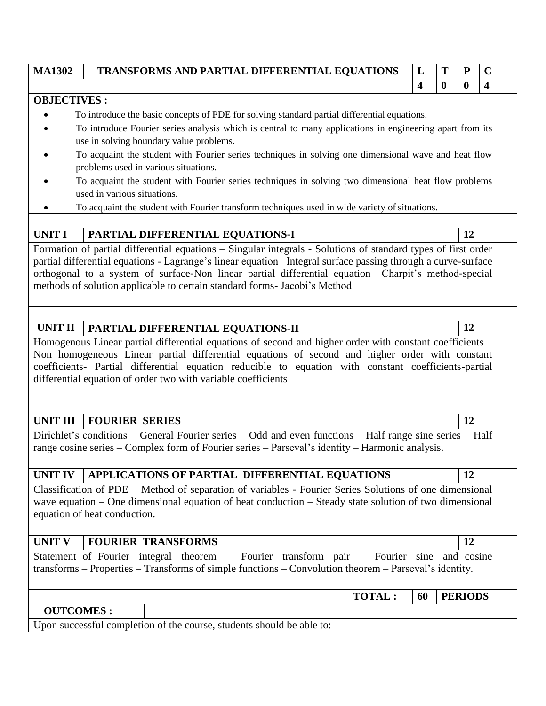| <b>MA1302</b>                                                                                            | TRANSFORMS AND PARTIAL DIFFERENTIAL EQUATIONS                                                                                                                                                                     | L  | Т        | P              | $\mathbf C$             |  |  |  |  |
|----------------------------------------------------------------------------------------------------------|-------------------------------------------------------------------------------------------------------------------------------------------------------------------------------------------------------------------|----|----------|----------------|-------------------------|--|--|--|--|
|                                                                                                          |                                                                                                                                                                                                                   | 4  | $\bf{0}$ | $\bf{0}$       | $\overline{\mathbf{4}}$ |  |  |  |  |
| <b>OBJECTIVES:</b>                                                                                       |                                                                                                                                                                                                                   |    |          |                |                         |  |  |  |  |
| To introduce the basic concepts of PDE for solving standard partial differential equations.<br>$\bullet$ |                                                                                                                                                                                                                   |    |          |                |                         |  |  |  |  |
|                                                                                                          | To introduce Fourier series analysis which is central to many applications in engineering apart from its                                                                                                          |    |          |                |                         |  |  |  |  |
|                                                                                                          | use in solving boundary value problems.                                                                                                                                                                           |    |          |                |                         |  |  |  |  |
|                                                                                                          | To acquaint the student with Fourier series techniques in solving one dimensional wave and heat flow                                                                                                              |    |          |                |                         |  |  |  |  |
|                                                                                                          | problems used in various situations.<br>To acquaint the student with Fourier series techniques in solving two dimensional heat flow problems                                                                      |    |          |                |                         |  |  |  |  |
|                                                                                                          | used in various situations.                                                                                                                                                                                       |    |          |                |                         |  |  |  |  |
|                                                                                                          | To acquaint the student with Fourier transform techniques used in wide variety of situations.                                                                                                                     |    |          |                |                         |  |  |  |  |
|                                                                                                          |                                                                                                                                                                                                                   |    |          |                |                         |  |  |  |  |
| <b>UNIT I</b>                                                                                            | PARTIAL DIFFERENTIAL EQUATIONS-I                                                                                                                                                                                  |    |          | 12             |                         |  |  |  |  |
|                                                                                                          | Formation of partial differential equations - Singular integrals - Solutions of standard types of first order                                                                                                     |    |          |                |                         |  |  |  |  |
|                                                                                                          | partial differential equations - Lagrange's linear equation - Integral surface passing through a curve-surface                                                                                                    |    |          |                |                         |  |  |  |  |
|                                                                                                          | orthogonal to a system of surface-Non linear partial differential equation -Charpit's method-special                                                                                                              |    |          |                |                         |  |  |  |  |
|                                                                                                          | methods of solution applicable to certain standard forms- Jacobi's Method                                                                                                                                         |    |          |                |                         |  |  |  |  |
|                                                                                                          |                                                                                                                                                                                                                   |    |          |                |                         |  |  |  |  |
|                                                                                                          |                                                                                                                                                                                                                   |    |          |                |                         |  |  |  |  |
| <b>UNIT II</b>                                                                                           | PARTIAL DIFFERENTIAL EQUATIONS-II                                                                                                                                                                                 |    |          | 12             |                         |  |  |  |  |
|                                                                                                          | Homogenous Linear partial differential equations of second and higher order with constant coefficients -                                                                                                          |    |          |                |                         |  |  |  |  |
|                                                                                                          | Non homogeneous Linear partial differential equations of second and higher order with constant                                                                                                                    |    |          |                |                         |  |  |  |  |
|                                                                                                          | coefficients- Partial differential equation reducible to equation with constant coefficients-partial                                                                                                              |    |          |                |                         |  |  |  |  |
|                                                                                                          | differential equation of order two with variable coefficients                                                                                                                                                     |    |          |                |                         |  |  |  |  |
|                                                                                                          |                                                                                                                                                                                                                   |    |          |                |                         |  |  |  |  |
|                                                                                                          |                                                                                                                                                                                                                   |    |          |                |                         |  |  |  |  |
| <b>UNIT III</b>                                                                                          | <b>FOURIER SERIES</b>                                                                                                                                                                                             |    |          | 12             |                         |  |  |  |  |
|                                                                                                          | Dirichlet's conditions – General Fourier series – Odd and even functions – Half range sine series – Half                                                                                                          |    |          |                |                         |  |  |  |  |
|                                                                                                          | range cosine series - Complex form of Fourier series - Parseval's identity - Harmonic analysis.                                                                                                                   |    |          |                |                         |  |  |  |  |
| <b>UNIT IV</b>                                                                                           | APPLICATIONS OF PARTIAL DIFFERENTIAL EQUATIONS                                                                                                                                                                    |    |          | 12             |                         |  |  |  |  |
|                                                                                                          |                                                                                                                                                                                                                   |    |          |                |                         |  |  |  |  |
|                                                                                                          | Classification of PDE – Method of separation of variables - Fourier Series Solutions of one dimensional<br>wave equation – One dimensional equation of heat conduction – Steady state solution of two dimensional |    |          |                |                         |  |  |  |  |
|                                                                                                          | equation of heat conduction.                                                                                                                                                                                      |    |          |                |                         |  |  |  |  |
|                                                                                                          |                                                                                                                                                                                                                   |    |          |                |                         |  |  |  |  |
| <b>UNIT V</b>                                                                                            | <b>FOURIER TRANSFORMS</b>                                                                                                                                                                                         |    |          | 12             |                         |  |  |  |  |
|                                                                                                          | Statement of Fourier integral theorem – Fourier transform pair – Fourier sine and cosine                                                                                                                          |    |          |                |                         |  |  |  |  |
|                                                                                                          | transforms - Properties - Transforms of simple functions - Convolution theorem - Parseval's identity.                                                                                                             |    |          |                |                         |  |  |  |  |
|                                                                                                          |                                                                                                                                                                                                                   |    |          |                |                         |  |  |  |  |
|                                                                                                          | <b>TOTAL:</b>                                                                                                                                                                                                     | 60 |          | <b>PERIODS</b> |                         |  |  |  |  |
| <b>OUTCOMES:</b>                                                                                         |                                                                                                                                                                                                                   |    |          |                |                         |  |  |  |  |
|                                                                                                          | Upon successful completion of the course, students should be able to:                                                                                                                                             |    |          |                |                         |  |  |  |  |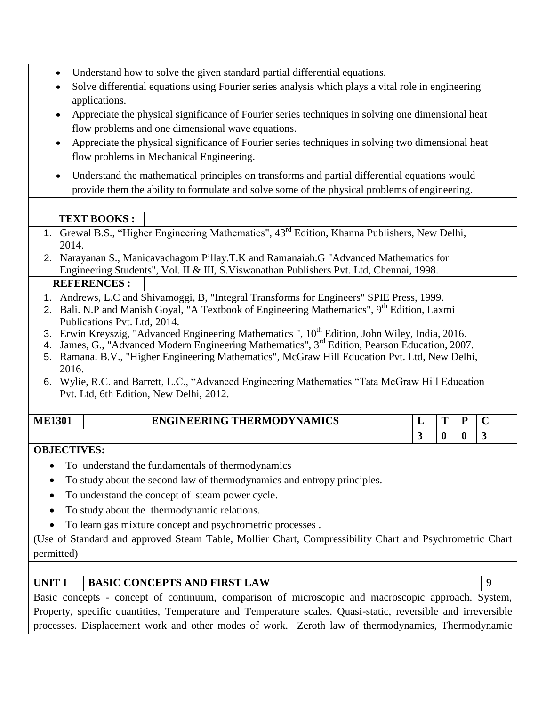- Understand how to solve the given standard partial differential equations.
- Solve differential equations using Fourier series analysis which plays a vital role in engineering applications.
- Appreciate the physical significance of Fourier series techniques in solving one dimensional heat flow problems and one dimensional wave equations.
- Appreciate the physical significance of Fourier series techniques in solving two dimensional heat flow problems in Mechanical Engineering.
- Understand the mathematical principles on transforms and partial differential equations would provide them the ability to formulate and solve some of the physical problems of engineering.

### **TEXT BOOKS :**

- 1. Grewal B.S., "Higher Engineering Mathematics"*,* 43rd Edition, Khanna Publishers, New Delhi, 2014.
- 2. Narayanan S., Manicavachagom Pillay.T.K and Ramanaiah.G "Advanced Mathematics for Engineering Students", Vol. II & III, S.Viswanathan Publishers Pvt. Ltd, Chennai, 1998.

#### **REFERENCES :**

- 1. Andrews, L.C and Shivamoggi, B, "Integral Transforms for Engineers" SPIE Press, 1999.
- 2. Bali. N.P and Manish Goyal, "A Textbook of Engineering Mathematics",  $9<sup>th</sup>$  Edition, Laxmi Publications Pvt. Ltd, 2014.
- 3. Erwin Kreyszig, "Advanced Engineering Mathematics "*,* 10th Edition, John Wiley, India, 2016.
- 4. James, G., "Advanced Modern Engineering Mathematics", 3<sup>rd</sup> Edition, Pearson Education, 2007.
- 5. Ramana. B.V., "Higher Engineering Mathematics"*,* McGraw Hill Education Pvt. Ltd, New Delhi, 2016.
- 6. Wylie, R.C. and Barrett, L.C., "Advanced Engineering Mathematics "Tata McGraw Hill Education Pvt. Ltd, 6th Edition, New Delhi, 2012.

| <b>ME1301</b> | <b>ENGINEERING THERMODYNAMICS</b> |  |  |
|---------------|-----------------------------------|--|--|
|               |                                   |  |  |

### **OBJECTIVES:**

- To understand the fundamentals of thermodynamics
- To study about the second law of thermodynamics and entropy principles.
- To understand the concept of steam power cycle.
- To study about the thermodynamic relations.
- To learn gas mixture concept and psychrometric processes .

(Use of Standard and approved Steam Table, Mollier Chart, Compressibility Chart and Psychrometric Chart permitted)

### **UNIT I BASIC CONCEPTS AND FIRST LAW 9**

Basic concepts - concept of continuum, comparison of microscopic and macroscopic approach. System, Property, specific quantities, Temperature and Temperature scales. Quasi-static, reversible and irreversible processes. Displacement work and other modes of work. Zeroth law of thermodynamics, Thermodynamic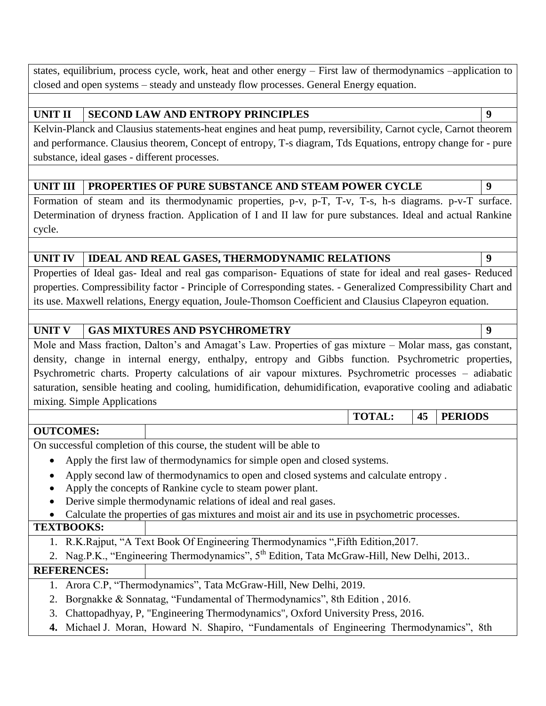states, equilibrium, process cycle, work, heat and other energy – First law of thermodynamics –application to closed and open systems – steady and unsteady flow processes. General Energy equation.

### **UNIT II SECOND LAW AND ENTROPY PRINCIPLES 9**

Kelvin-Planck and Clausius statements-heat engines and heat pump, reversibility, Carnot cycle, Carnot theorem and performance. Clausius theorem, Concept of entropy, T-s diagram, Tds Equations, entropy change for - pure substance, ideal gases - different processes.

### UNIT III PROPERTIES OF PURE SUBSTANCE AND STEAM POWER CYCLE 9

Formation of steam and its thermodynamic properties, p-v, p-T, T-v, T-s, h-s diagrams. p-v-T surface. Determination of dryness fraction. Application of I and II law for pure substances. Ideal and actual Rankine cycle.

#### **UNIT IV IDEAL AND REAL GASES, THERMODYNAMIC RELATIONS 9**

Properties of Ideal gas- Ideal and real gas comparison- Equations of state for ideal and real gases- Reduced properties. Compressibility factor - Principle of Corresponding states. - Generalized Compressibility Chart and its use. Maxwell relations, Energy equation, Joule-Thomson Coefficient and Clausius Clapeyron equation.

### UNIT V **GAS MIXTURES AND PSYCHROMETRY 9**

Mole and Mass fraction, Dalton's and Amagat's Law. Properties of gas mixture – Molar mass, gas constant, density, change in internal energy, enthalpy, entropy and Gibbs function. Psychrometric properties, Psychrometric charts. Property calculations of air vapour mixtures. Psychrometric processes – adiabatic saturation, sensible heating and cooling, humidification, dehumidification, evaporative cooling and adiabatic mixing. Simple Applications

**TOTAL: 45 PERIODS**

#### **OUTCOMES:**

On successful completion of this course, the student will be able to

- Apply the first law of thermodynamics for simple open and closed systems.
- Apply second law of thermodynamics to open and closed systems and calculate entropy .
- Apply the concepts of Rankine cycle to steam power plant.
- Derive simple thermodynamic relations of ideal and real gases.
- Calculate the properties of gas mixtures and moist air and its use in psychometric processes.

### **TEXTBOOKS:**

- 1. R.K.Rajput, "A Text Book Of Engineering Thermodynamics ",Fifth Edition,2017.
- 2. Nag.P.K., "Engineering Thermodynamics", 5<sup>th</sup> Edition, Tata McGraw-Hill, New Delhi, 2013..

#### **REFERENCES:**

- 1. Arora C.P, "Thermodynamics", Tata McGraw-Hill, New Delhi, 2019.
- 2. Borgnakke & Sonnatag, "Fundamental of Thermodynamics", 8th Edition , 2016.
- 3. Chattopadhyay, P, "Engineering Thermodynamics", Oxford University Press, 2016.
- **4.** Michael J. Moran, Howard N. Shapiro, "Fundamentals of Engineering Thermodynamics", 8th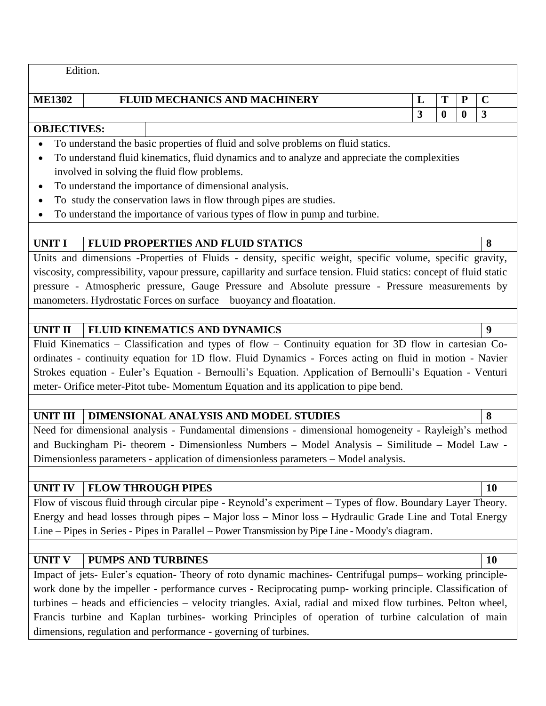Edition.

# **IFLUID MECHANICS AND MACHINERY L T P C**

#### **OBJECTIVES:**

- To understand the basic properties of fluid and solve problems on fluid statics.
- To understand fluid kinematics, fluid dynamics and to analyze and appreciate the complexities involved in solving the fluid flow problems.
- To understand the importance of dimensional analysis.
- To study the conservation laws in flow through pipes are studies.
- To understand the importance of various types of flow in pump and turbine.

#### **UNIT I FLUID PROPERTIES AND FLUID STATICS 8**

Units and dimensions -Properties of Fluids - density, specific weight, specific volume, specific gravity, viscosity, compressibility, vapour pressure, capillarity and surface tension. Fluid statics: concept of fluid static pressure - Atmospheric pressure, Gauge Pressure and Absolute pressure - Pressure measurements by manometers. Hydrostatic Forces on surface – buoyancy and floatation.

### **UNIT II FLUID KINEMATICS AND DYNAMICS 9**

Fluid Kinematics – Classification and types of flow – Continuity equation for 3D flow in cartesian Coordinates - continuity equation for 1D flow. Fluid Dynamics - Forces acting on fluid in motion - Navier Strokes equation - Euler's Equation - Bernoulli's Equation. Application of Bernoulli's Equation - Venturi meter- Orifice meter-Pitot tube- Momentum Equation and its application to pipe bend.

### **UNIT III DIMENSIONAL ANALYSIS AND MODEL STUDIES 8**

Need for dimensional analysis - Fundamental dimensions - dimensional homogeneity - Rayleigh's method and Buckingham Pi- theorem - Dimensionless Numbers – Model Analysis – Similitude – Model Law - Dimensionless parameters - application of dimensionless parameters – Model analysis.

### **UNIT IV FLOW THROUGH PIPES 10**

Flow of viscous fluid through circular pipe - Reynold's experiment – Types of flow. Boundary Layer Theory. Energy and head losses through pipes – Major loss – Minor loss – Hydraulic Grade Line and Total Energy Line – Pipes in Series - Pipes in Parallel – Power Transmission by Pipe Line - Moody's diagram.

### **UNIT V PUMPS AND TURBINES 10**

Impact of jets- Euler's equation- Theory of roto dynamic machines- Centrifugal pumps– working principlework done by the impeller - performance curves - Reciprocating pump- working principle. Classification of turbines – heads and efficiencies – velocity triangles. Axial, radial and mixed flow turbines. Pelton wheel, Francis turbine and Kaplan turbines- working Principles of operation of turbine calculation of main dimensions, regulation and performance - governing of turbines.

**3 0 0 3**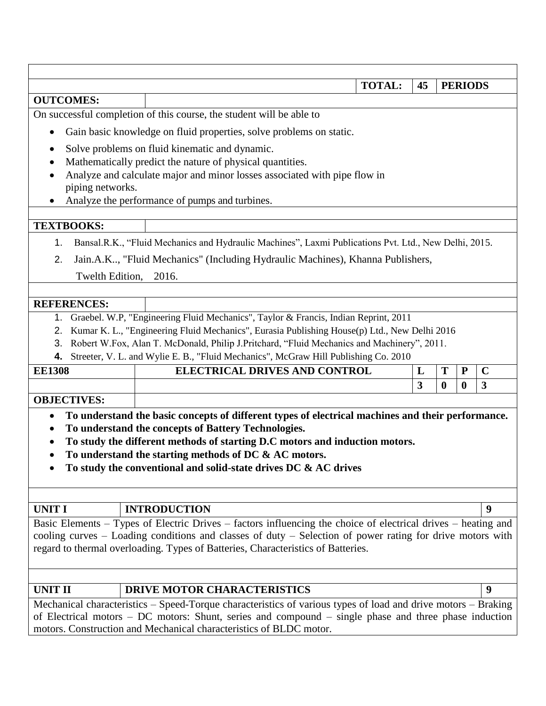| <b>TOTAL:</b><br>45<br><b>PERIODS</b>                                                                     |                                                                                                                                                                                                                        |   |          |                  |             |  |  |  |  |
|-----------------------------------------------------------------------------------------------------------|------------------------------------------------------------------------------------------------------------------------------------------------------------------------------------------------------------------------|---|----------|------------------|-------------|--|--|--|--|
| <b>OUTCOMES:</b>                                                                                          |                                                                                                                                                                                                                        |   |          |                  |             |  |  |  |  |
|                                                                                                           | On successful completion of this course, the student will be able to                                                                                                                                                   |   |          |                  |             |  |  |  |  |
|                                                                                                           | Gain basic knowledge on fluid properties, solve problems on static.                                                                                                                                                    |   |          |                  |             |  |  |  |  |
|                                                                                                           | Solve problems on fluid kinematic and dynamic.                                                                                                                                                                         |   |          |                  |             |  |  |  |  |
|                                                                                                           | Mathematically predict the nature of physical quantities.                                                                                                                                                              |   |          |                  |             |  |  |  |  |
|                                                                                                           | Analyze and calculate major and minor losses associated with pipe flow in                                                                                                                                              |   |          |                  |             |  |  |  |  |
| piping networks.                                                                                          | Analyze the performance of pumps and turbines.                                                                                                                                                                         |   |          |                  |             |  |  |  |  |
|                                                                                                           |                                                                                                                                                                                                                        |   |          |                  |             |  |  |  |  |
| <b>TEXTBOOKS:</b>                                                                                         |                                                                                                                                                                                                                        |   |          |                  |             |  |  |  |  |
| 1.                                                                                                        | Bansal.R.K., "Fluid Mechanics and Hydraulic Machines", Laxmi Publications Pvt. Ltd., New Delhi, 2015.                                                                                                                  |   |          |                  |             |  |  |  |  |
| 2.                                                                                                        | Jain.A.K, "Fluid Mechanics" (Including Hydraulic Machines), Khanna Publishers,                                                                                                                                         |   |          |                  |             |  |  |  |  |
| Twelth Edition, 2016.                                                                                     |                                                                                                                                                                                                                        |   |          |                  |             |  |  |  |  |
|                                                                                                           |                                                                                                                                                                                                                        |   |          |                  |             |  |  |  |  |
| <b>REFERENCES:</b>                                                                                        |                                                                                                                                                                                                                        |   |          |                  |             |  |  |  |  |
| 1.                                                                                                        | Graebel. W.P, "Engineering Fluid Mechanics", Taylor & Francis, Indian Reprint, 2011                                                                                                                                    |   |          |                  |             |  |  |  |  |
| 2.                                                                                                        | Kumar K. L., "Engineering Fluid Mechanics", Eurasia Publishing House(p) Ltd., New Delhi 2016                                                                                                                           |   |          |                  |             |  |  |  |  |
| 3.                                                                                                        | Robert W.Fox, Alan T. McDonald, Philip J.Pritchard, "Fluid Mechanics and Machinery", 2011.                                                                                                                             |   |          |                  |             |  |  |  |  |
| 4.                                                                                                        | Streeter, V. L. and Wylie E. B., "Fluid Mechanics", McGraw Hill Publishing Co. 2010                                                                                                                                    |   |          |                  |             |  |  |  |  |
| <b>EE1308</b>                                                                                             | <b>ELECTRICAL DRIVES AND CONTROL</b>                                                                                                                                                                                   | L | T        | $\mathbf P$      | $\mathbf C$ |  |  |  |  |
|                                                                                                           |                                                                                                                                                                                                                        | 3 | $\bf{0}$ | $\boldsymbol{0}$ | 3           |  |  |  |  |
| <b>OBJECTIVES:</b>                                                                                        |                                                                                                                                                                                                                        |   |          |                  |             |  |  |  |  |
| $\bullet$                                                                                                 | To understand the basic concepts of different types of electrical machines and their performance.                                                                                                                      |   |          |                  |             |  |  |  |  |
|                                                                                                           | To understand the concepts of Battery Technologies.                                                                                                                                                                    |   |          |                  |             |  |  |  |  |
|                                                                                                           | To study the different methods of starting D.C motors and induction motors.                                                                                                                                            |   |          |                  |             |  |  |  |  |
|                                                                                                           | To understand the starting methods of DC & AC motors.                                                                                                                                                                  |   |          |                  |             |  |  |  |  |
|                                                                                                           | To study the conventional and solid-state drives DC & AC drives                                                                                                                                                        |   |          |                  |             |  |  |  |  |
|                                                                                                           |                                                                                                                                                                                                                        |   |          |                  |             |  |  |  |  |
| <b>UNIT I</b>                                                                                             | <b>INTRODUCTION</b>                                                                                                                                                                                                    |   |          |                  | 9           |  |  |  |  |
|                                                                                                           | Basic Elements - Types of Electric Drives - factors influencing the choice of electrical drives - heating and                                                                                                          |   |          |                  |             |  |  |  |  |
| cooling curves – Loading conditions and classes of duty – Selection of power rating for drive motors with |                                                                                                                                                                                                                        |   |          |                  |             |  |  |  |  |
|                                                                                                           | regard to thermal overloading. Types of Batteries, Characteristics of Batteries.                                                                                                                                       |   |          |                  |             |  |  |  |  |
|                                                                                                           |                                                                                                                                                                                                                        |   |          |                  |             |  |  |  |  |
|                                                                                                           |                                                                                                                                                                                                                        |   |          |                  |             |  |  |  |  |
| <b>UNIT II</b>                                                                                            | <b>DRIVE MOTOR CHARACTERISTICS</b>                                                                                                                                                                                     |   |          |                  | 9           |  |  |  |  |
|                                                                                                           | Mechanical characteristics - Speed-Torque characteristics of various types of load and drive motors - Braking<br>of Electrical motors – DC motors: Shunt, series and compound – single phase and three phase induction |   |          |                  |             |  |  |  |  |
|                                                                                                           | motors. Construction and Mechanical characteristics of BLDC motor.                                                                                                                                                     |   |          |                  |             |  |  |  |  |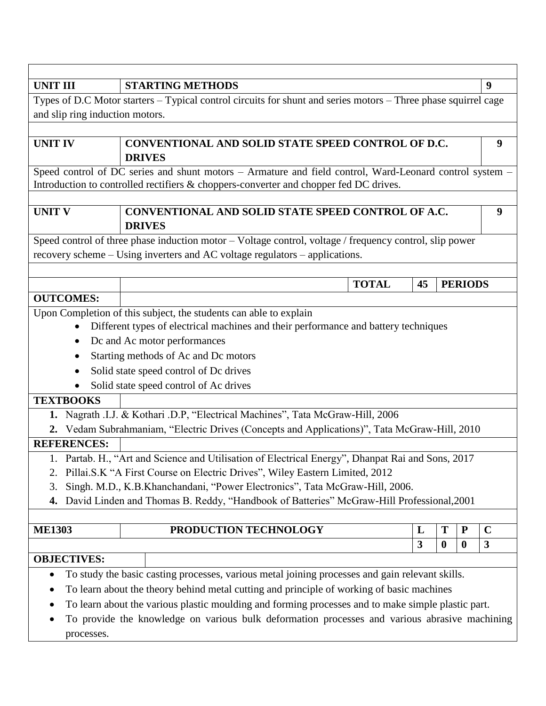| <b>UNIT III</b>                                                                                                                                                                                                                                                                                                                                                         | <b>STARTING METHODS</b>                                                                                                                                                                                                                                                                                                                                                                             |    |                  |                  | 9            |  |  |  |  |
|-------------------------------------------------------------------------------------------------------------------------------------------------------------------------------------------------------------------------------------------------------------------------------------------------------------------------------------------------------------------------|-----------------------------------------------------------------------------------------------------------------------------------------------------------------------------------------------------------------------------------------------------------------------------------------------------------------------------------------------------------------------------------------------------|----|------------------|------------------|--------------|--|--|--|--|
|                                                                                                                                                                                                                                                                                                                                                                         | Types of D.C Motor starters - Typical control circuits for shunt and series motors - Three phase squirrel cage                                                                                                                                                                                                                                                                                      |    |                  |                  |              |  |  |  |  |
| and slip ring induction motors.                                                                                                                                                                                                                                                                                                                                         |                                                                                                                                                                                                                                                                                                                                                                                                     |    |                  |                  |              |  |  |  |  |
|                                                                                                                                                                                                                                                                                                                                                                         |                                                                                                                                                                                                                                                                                                                                                                                                     |    |                  |                  |              |  |  |  |  |
| <b>UNIT IV</b>                                                                                                                                                                                                                                                                                                                                                          | CONVENTIONAL AND SOLID STATE SPEED CONTROL OF D.C.<br>9<br><b>DRIVES</b>                                                                                                                                                                                                                                                                                                                            |    |                  |                  |              |  |  |  |  |
|                                                                                                                                                                                                                                                                                                                                                                         | Speed control of DC series and shunt motors - Armature and field control, Ward-Leonard control system -<br>Introduction to controlled rectifiers & choppers-converter and chopper fed DC drives.                                                                                                                                                                                                    |    |                  |                  |              |  |  |  |  |
|                                                                                                                                                                                                                                                                                                                                                                         |                                                                                                                                                                                                                                                                                                                                                                                                     |    |                  |                  |              |  |  |  |  |
| <b>UNIT V</b>                                                                                                                                                                                                                                                                                                                                                           | CONVENTIONAL AND SOLID STATE SPEED CONTROL OF A.C.<br><b>DRIVES</b>                                                                                                                                                                                                                                                                                                                                 |    |                  |                  | 9            |  |  |  |  |
|                                                                                                                                                                                                                                                                                                                                                                         | Speed control of three phase induction motor - Voltage control, voltage / frequency control, slip power                                                                                                                                                                                                                                                                                             |    |                  |                  |              |  |  |  |  |
|                                                                                                                                                                                                                                                                                                                                                                         | recovery scheme – Using inverters and AC voltage regulators – applications.                                                                                                                                                                                                                                                                                                                         |    |                  |                  |              |  |  |  |  |
|                                                                                                                                                                                                                                                                                                                                                                         |                                                                                                                                                                                                                                                                                                                                                                                                     |    |                  |                  |              |  |  |  |  |
|                                                                                                                                                                                                                                                                                                                                                                         | <b>TOTAL</b>                                                                                                                                                                                                                                                                                                                                                                                        | 45 |                  | <b>PERIODS</b>   |              |  |  |  |  |
| <b>OUTCOMES:</b>                                                                                                                                                                                                                                                                                                                                                        |                                                                                                                                                                                                                                                                                                                                                                                                     |    |                  |                  |              |  |  |  |  |
| ٠<br>٠<br>$\bullet$<br><b>TEXTBOOKS</b>                                                                                                                                                                                                                                                                                                                                 | Upon Completion of this subject, the students can able to explain<br>Different types of electrical machines and their performance and battery techniques<br>Dc and Ac motor performances<br>Starting methods of Ac and Dc motors<br>Solid state speed control of Dc drives<br>Solid state speed control of Ac drives                                                                                |    |                  |                  |              |  |  |  |  |
|                                                                                                                                                                                                                                                                                                                                                                         | 1. Nagrath .I.J. & Kothari .D.P, "Electrical Machines", Tata McGraw-Hill, 2006                                                                                                                                                                                                                                                                                                                      |    |                  |                  |              |  |  |  |  |
|                                                                                                                                                                                                                                                                                                                                                                         | 2. Vedam Subrahmaniam, "Electric Drives (Concepts and Applications)", Tata McGraw-Hill, 2010                                                                                                                                                                                                                                                                                                        |    |                  |                  |              |  |  |  |  |
| <b>REFERENCES:</b>                                                                                                                                                                                                                                                                                                                                                      |                                                                                                                                                                                                                                                                                                                                                                                                     |    |                  |                  |              |  |  |  |  |
| 1. Partab. H., "Art and Science and Utilisation of Electrical Energy", Dhanpat Rai and Sons, 2017<br>Pillai.S.K "A First Course on Electric Drives", Wiley Eastern Limited, 2012<br>Singh. M.D., K.B.Khanchandani, "Power Electronics", Tata McGraw-Hill, 2006.<br>3.<br>David Linden and Thomas B. Reddy, "Handbook of Batteries" McGraw-Hill Professional, 2001<br>4. |                                                                                                                                                                                                                                                                                                                                                                                                     |    |                  |                  |              |  |  |  |  |
|                                                                                                                                                                                                                                                                                                                                                                         |                                                                                                                                                                                                                                                                                                                                                                                                     |    |                  |                  |              |  |  |  |  |
| <b>ME1303</b>                                                                                                                                                                                                                                                                                                                                                           | PRODUCTION TECHNOLOGY                                                                                                                                                                                                                                                                                                                                                                               | L  | T                | ${\bf P}$        | $\mathbf C$  |  |  |  |  |
|                                                                                                                                                                                                                                                                                                                                                                         |                                                                                                                                                                                                                                                                                                                                                                                                     | 3  | $\boldsymbol{0}$ | $\boldsymbol{0}$ | $\mathbf{3}$ |  |  |  |  |
| <b>OBJECTIVES:</b><br>$\bullet$<br>processes.                                                                                                                                                                                                                                                                                                                           | To study the basic casting processes, various metal joining processes and gain relevant skills.<br>To learn about the theory behind metal cutting and principle of working of basic machines<br>To learn about the various plastic moulding and forming processes and to make simple plastic part.<br>To provide the knowledge on various bulk deformation processes and various abrasive machining |    |                  |                  |              |  |  |  |  |

٦

Г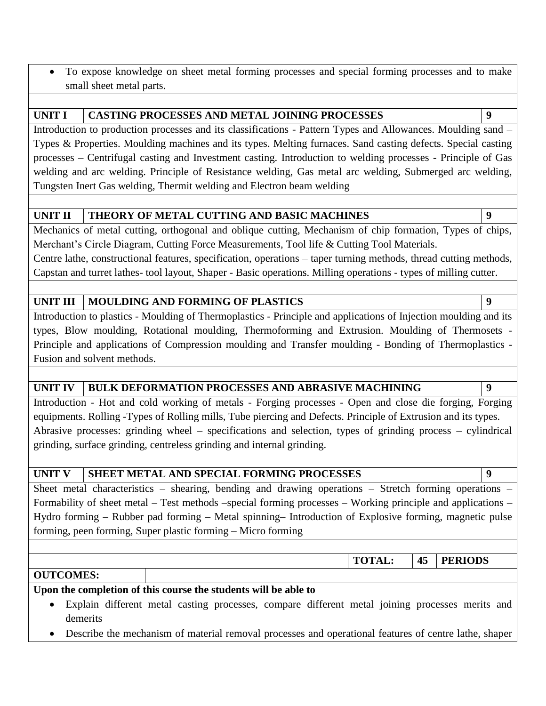To expose knowledge on sheet metal forming processes and special forming processes and to make small sheet metal parts.

#### **UNIT I CASTING PROCESSES AND METAL JOINING PROCESSES 9**

Introduction to production processes and its classifications - Pattern Types and Allowances. Moulding sand – Types & Properties. Moulding machines and its types. Melting furnaces. Sand casting defects. Special casting processes – Centrifugal casting and Investment casting. Introduction to welding processes - Principle of Gas welding and arc welding. Principle of Resistance welding, Gas metal arc welding, Submerged arc welding, Tungsten Inert Gas welding, Thermit welding and Electron beam welding

### **UNIT II THEORY OF METAL CUTTING AND BASIC MACHINES 9**

Mechanics of metal cutting, orthogonal and oblique cutting, Mechanism of chip formation, Types of chips, Merchant's Circle Diagram, Cutting Force Measurements, Tool life & Cutting Tool Materials. Centre lathe, constructional features, specification, operations – taper turning methods, thread cutting methods, Capstan and turret lathes- tool layout, Shaper - Basic operations. Milling operations - types of milling cutter.

### **UNIT III MOULDING AND FORMING OF PLASTICS 9**

Introduction to plastics - Moulding of Thermoplastics - Principle and applications of Injection moulding and its types, Blow moulding, Rotational moulding, Thermoforming and Extrusion. Moulding of Thermosets - Principle and applications of Compression moulding and Transfer moulding - Bonding of Thermoplastics - Fusion and solvent methods.

#### **UNIT IV BULK DEFORMATION PROCESSES AND ABRASIVE MACHINING 9**

Introduction - Hot and cold working of metals - Forging processes - Open and close die forging, Forging equipments. Rolling -Types of Rolling mills, Tube piercing and Defects. Principle of Extrusion and its types. Abrasive processes: grinding wheel – specifications and selection, types of grinding process – cylindrical grinding, surface grinding, centreless grinding and internal grinding.

### **UNIT V SHEET METAL AND SPECIAL FORMING PROCESSES 9**

Sheet metal characteristics – shearing, bending and drawing operations – Stretch forming operations – Formability of sheet metal – Test methods –special forming processes – Working principle and applications – Hydro forming – Rubber pad forming – Metal spinning– Introduction of Explosive forming, magnetic pulse forming, peen forming, Super plastic forming – Micro forming

**TOTAL: 45 PERIODS**

#### **OUTCOMES:**

**Upon the completion of this course the students will be able to**

- Explain different metal casting processes, compare different metal joining processes merits and demerits
- Describe the mechanism of material removal processes and operational features of centre lathe, shaper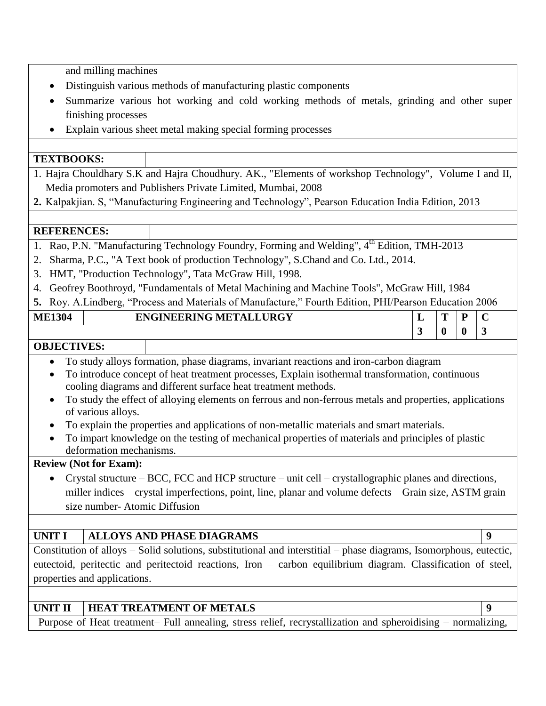and milling machines

- Distinguish various methods of manufacturing plastic components
- Summarize various hot working and cold working methods of metals, grinding and other super finishing processes
- Explain various sheet metal making special forming processes

#### **TEXTBOOKS:**

- 1. Hajra Chouldhary S.K and Hajra Choudhury. AK., "Elements of workshop Technology", Volume I and II, Media promoters and Publishers Private Limited, Mumbai, 2008
- **2.** Kalpakjian. S, "Manufacturing Engineering and Technology", Pearson Education India Edition, 2013

#### **REFERENCES:**

- 1. Rao, P.N. "Manufacturing Technology Foundry, Forming and Welding", 4<sup>th</sup> Edition, TMH-2013
- 2. Sharma, P.C., "A Text book of production Technology", S.Chand and Co. Ltd., 2014.
- 3. HMT, "Production Technology", Tata McGraw Hill, 1998.
- 4. Geofrey Boothroyd, "Fundamentals of Metal Machining and Machine Tools", McGraw Hill, 1984
- **5.** Roy. A.Lindberg, "Process and Materials of Manufacture," Fourth Edition, PHI/Pearson Education 2006

| <b>ME1304</b> | <b>ENGINEERING METALLURGY</b> | ш.                       | <b>CONT</b><br>. . | $\sqrt{ }$<br>∼          |
|---------------|-------------------------------|--------------------------|--------------------|--------------------------|
|               |                               | $\overline{\phantom{a}}$ | U                  | $\overline{\phantom{a}}$ |

### **OBJECTIVES:**

- To study alloys formation, phase diagrams, invariant reactions and iron-carbon diagram
- To introduce concept of heat treatment processes, Explain isothermal transformation, continuous cooling diagrams and different surface heat treatment methods.
- To study the effect of alloying elements on ferrous and non-ferrous metals and properties, applications of various alloys.
- To explain the properties and applications of non-metallic materials and smart materials.
- To impart knowledge on the testing of mechanical properties of materials and principles of plastic deformation mechanisms.

### **Review (Not for Exam):**

 Crystal structure – BCC, FCC and HCP structure – unit cell – crystallographic planes and directions, miller indices – crystal imperfections, point, line, planar and volume defects – Grain size, ASTM grain size number- Atomic Diffusion

### **UNIT I ALLOYS AND PHASE DIAGRAMS 9**

Constitution of alloys – Solid solutions, substitutional and interstitial – phase diagrams, Isomorphous, eutectic, eutectoid, peritectic and peritectoid reactions, Iron – carbon equilibrium diagram. Classification of steel, properties and applications.

# **UNIT II HEAT TREATMENT OF METALS** 9

Purpose of Heat treatment– Full annealing, stress relief, recrystallization and spheroidising – normalizing,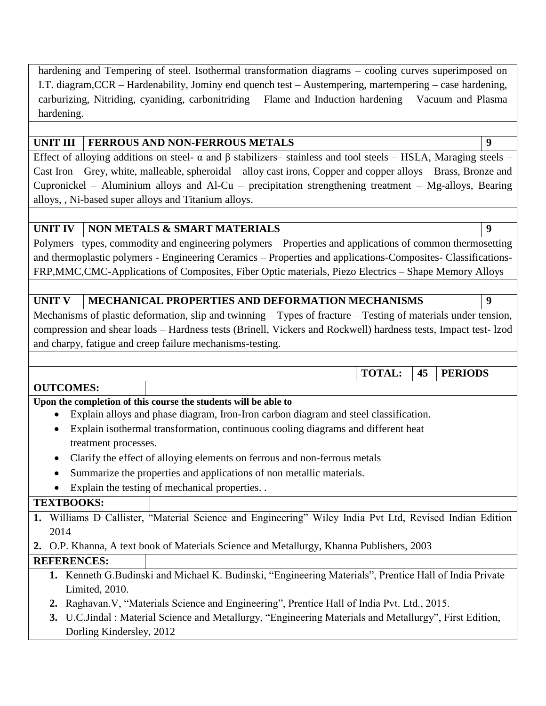hardening and Tempering of steel. Isothermal transformation diagrams – cooling curves superimposed on I.T. diagram,CCR – Hardenability, Jominy end quench test – Austempering, martempering – case hardening, carburizing, Nitriding, cyaniding, carbonitriding – Flame and Induction hardening – Vacuum and Plasma hardening.

# **UNIT III FERROUS AND NON-FERROUS METALS 9**

Effect of alloying additions on steel- α and β stabilizers– stainless and tool steels – HSLA, Maraging steels – Cast Iron – Grey, white, malleable, spheroidal – alloy cast irons, Copper and copper alloys – Brass, Bronze and Cupronickel – Aluminium alloys and Al-Cu – precipitation strengthening treatment – Mg-alloys, Bearing alloys, , Ni-based super alloys and Titanium alloys.

# **UNIT IV NON METALS & SMART MATERIALS 9**

Polymers– types, commodity and engineering polymers – Properties and applications of common thermosetting and thermoplastic polymers - Engineering Ceramics – Properties and applications-Composites- Classifications-FRP,MMC,CMC-Applications of Composites, Fiber Optic materials, Piezo Electrics – Shape Memory Alloys

# UNIT V **MECHANICAL PROPERTIES AND DEFORMATION MECHANISMS**

Mechanisms of plastic deformation, slip and twinning – Types of fracture – Testing of materials under tension, compression and shear loads – Hardness tests (Brinell, Vickers and Rockwell) hardness tests, Impact test- lzod and charpy, fatigue and creep failure mechanisms-testing.

**TOTAL: 45 PERIODS**

### **OUTCOMES:**

# **Upon the completion of this course the students will be able to**

- Explain alloys and phase diagram, Iron-Iron carbon diagram and steel classification.
- Explain isothermal transformation, continuous cooling diagrams and different heat treatment processes.
- Clarify the effect of alloying elements on ferrous and non-ferrous metals
- Summarize the properties and applications of non metallic materials.
- Explain the testing of mechanical properties. .

### **TEXTBOOKS:**

- **1.** Williams D Callister, "Material Science and Engineering" Wiley India Pvt Ltd, Revised Indian Edition 2014
- **2.** O.P. Khanna, A text book of Materials Science and Metallurgy, Khanna Publishers, 2003

### **REFERENCES:**

- **1.** Kenneth G.Budinski and Michael K. Budinski, "Engineering Materials", Prentice Hall of India Private Limited, 2010.
- **2.** Raghavan.V, "Materials Science and Engineering", Prentice Hall of India Pvt. Ltd., 2015.
- **3.** U.C.Jindal : Material Science and Metallurgy, "Engineering Materials and Metallurgy", First Edition, Dorling Kindersley, 2012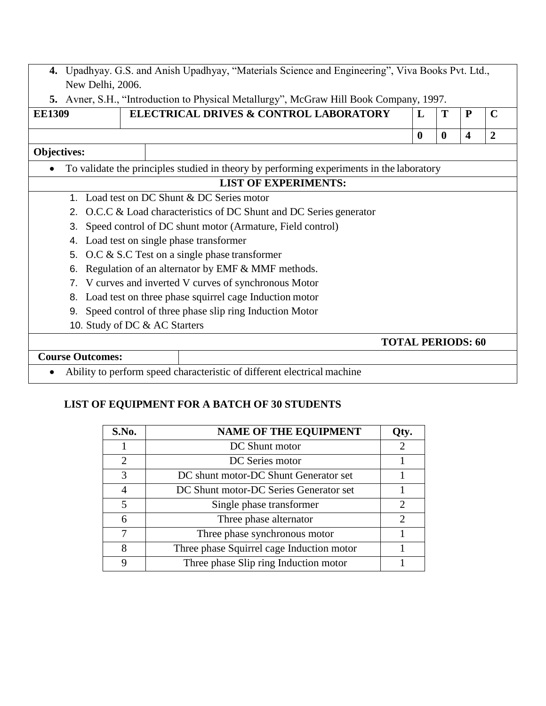| 4. Upadhyay. G.S. and Anish Upadhyay, "Materials Science and Engineering", Viva Books Pvt. Ltd., |
|--------------------------------------------------------------------------------------------------|
| New Delhi, 2006.                                                                                 |

**5.** Avner, S.H., "Introduction to Physical Metallurgy", McGraw Hill Book Company, 1997.

| ELECTRICAL DRIVES & CONTROL LABORATORY<br>T<br><b>EE1309</b><br>L |                                                                                          |                          |          |                  |   |   |  |  |
|-------------------------------------------------------------------|------------------------------------------------------------------------------------------|--------------------------|----------|------------------|---|---|--|--|
|                                                                   |                                                                                          |                          | $\bf{0}$ | $\boldsymbol{0}$ | 4 | 2 |  |  |
| <b>Objectives:</b>                                                |                                                                                          |                          |          |                  |   |   |  |  |
| $\bullet$                                                         | To validate the principles studied in theory by performing experiments in the laboratory |                          |          |                  |   |   |  |  |
|                                                                   | <b>LIST OF EXPERIMENTS:</b>                                                              |                          |          |                  |   |   |  |  |
| 1.                                                                | Load test on DC Shunt & DC Series motor                                                  |                          |          |                  |   |   |  |  |
|                                                                   | 2. O.C.C & Load characteristics of DC Shunt and DC Series generator                      |                          |          |                  |   |   |  |  |
| 3.                                                                | Speed control of DC shunt motor (Armature, Field control)                                |                          |          |                  |   |   |  |  |
| 4.                                                                | Load test on single phase transformer                                                    |                          |          |                  |   |   |  |  |
|                                                                   | 5. O.C & S.C Test on a single phase transformer                                          |                          |          |                  |   |   |  |  |
| 6.                                                                | Regulation of an alternator by EMF & MMF methods.                                        |                          |          |                  |   |   |  |  |
| 7.                                                                | V curves and inverted V curves of synchronous Motor                                      |                          |          |                  |   |   |  |  |
| 8.                                                                | Load test on three phase squirrel cage Induction motor                                   |                          |          |                  |   |   |  |  |
| Speed control of three phase slip ring Induction Motor<br>9.      |                                                                                          |                          |          |                  |   |   |  |  |
|                                                                   | 10. Study of DC & AC Starters                                                            |                          |          |                  |   |   |  |  |
|                                                                   |                                                                                          | <b>TOTAL PERIODS: 60</b> |          |                  |   |   |  |  |
| <b>Course Outcomes:</b>                                           |                                                                                          |                          |          |                  |   |   |  |  |
|                                                                   | $\sim$ $\sim$                                                                            |                          |          |                  |   |   |  |  |

Ability to perform speed characteristic of different electrical machine

# **LIST OF EQUIPMENT FOR A BATCH OF 30 STUDENTS**

| S.No.                    | <b>NAME OF THE EQUIPMENT</b>              | Qty.                        |
|--------------------------|-------------------------------------------|-----------------------------|
|                          | DC Shunt motor                            | 2                           |
| 2                        | DC Series motor                           |                             |
| $\mathcal{R}$            | DC shunt motor-DC Shunt Generator set     |                             |
|                          | DC Shunt motor-DC Series Generator set    |                             |
| $\overline{\mathcal{L}}$ | Single phase transformer                  | 2                           |
| 6                        | Three phase alternator                    | $\mathcal{D}_{\mathcal{L}}$ |
|                          | Three phase synchronous motor             |                             |
| 8                        | Three phase Squirrel cage Induction motor |                             |
| 9                        | Three phase Slip ring Induction motor     |                             |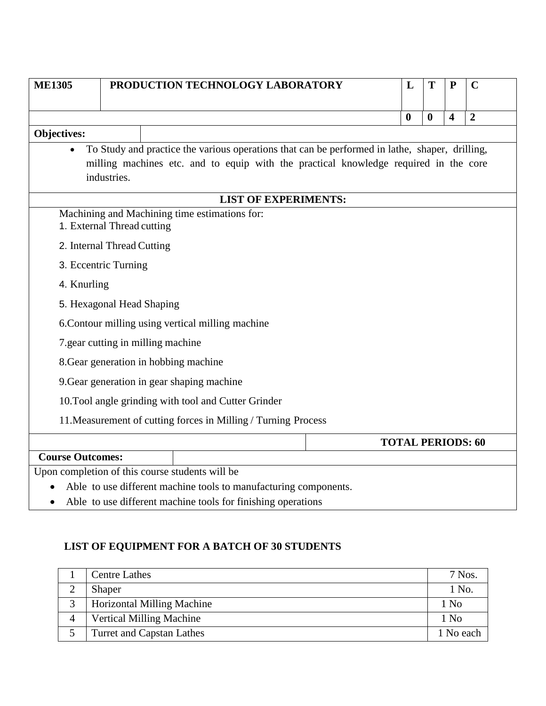| <b>ME1305</b>                                                               | PRODUCTION TECHNOLOGY LABORATORY                                                                    |  |  |  |  |  |                             |  |  |  | L                | T                | ${\bf P}$               | $\mathbf C$              |  |
|-----------------------------------------------------------------------------|-----------------------------------------------------------------------------------------------------|--|--|--|--|--|-----------------------------|--|--|--|------------------|------------------|-------------------------|--------------------------|--|
|                                                                             |                                                                                                     |  |  |  |  |  |                             |  |  |  |                  |                  |                         |                          |  |
|                                                                             |                                                                                                     |  |  |  |  |  |                             |  |  |  | $\boldsymbol{0}$ | $\boldsymbol{0}$ | $\overline{\mathbf{4}}$ | $\overline{2}$           |  |
| <b>Objectives:</b>                                                          |                                                                                                     |  |  |  |  |  |                             |  |  |  |                  |                  |                         |                          |  |
|                                                                             | To Study and practice the various operations that can be performed in lathe, shaper, drilling,      |  |  |  |  |  |                             |  |  |  |                  |                  |                         |                          |  |
|                                                                             | milling machines etc. and to equip with the practical knowledge required in the core<br>industries. |  |  |  |  |  |                             |  |  |  |                  |                  |                         |                          |  |
|                                                                             |                                                                                                     |  |  |  |  |  |                             |  |  |  |                  |                  |                         |                          |  |
|                                                                             |                                                                                                     |  |  |  |  |  | <b>LIST OF EXPERIMENTS:</b> |  |  |  |                  |                  |                         |                          |  |
| Machining and Machining time estimations for:<br>1. External Thread cutting |                                                                                                     |  |  |  |  |  |                             |  |  |  |                  |                  |                         |                          |  |
| 2. Internal Thread Cutting                                                  |                                                                                                     |  |  |  |  |  |                             |  |  |  |                  |                  |                         |                          |  |
| 3. Eccentric Turning                                                        |                                                                                                     |  |  |  |  |  |                             |  |  |  |                  |                  |                         |                          |  |
| 4. Knurling                                                                 |                                                                                                     |  |  |  |  |  |                             |  |  |  |                  |                  |                         |                          |  |
| 5. Hexagonal Head Shaping                                                   |                                                                                                     |  |  |  |  |  |                             |  |  |  |                  |                  |                         |                          |  |
| 6. Contour milling using vertical milling machine                           |                                                                                                     |  |  |  |  |  |                             |  |  |  |                  |                  |                         |                          |  |
| 7.gear cutting in milling machine                                           |                                                                                                     |  |  |  |  |  |                             |  |  |  |                  |                  |                         |                          |  |
| 8. Gear generation in hobbing machine                                       |                                                                                                     |  |  |  |  |  |                             |  |  |  |                  |                  |                         |                          |  |
| 9. Gear generation in gear shaping machine                                  |                                                                                                     |  |  |  |  |  |                             |  |  |  |                  |                  |                         |                          |  |
| 10. Tool angle grinding with tool and Cutter Grinder                        |                                                                                                     |  |  |  |  |  |                             |  |  |  |                  |                  |                         |                          |  |
| 11. Measurement of cutting forces in Milling / Turning Process              |                                                                                                     |  |  |  |  |  |                             |  |  |  |                  |                  |                         |                          |  |
|                                                                             |                                                                                                     |  |  |  |  |  |                             |  |  |  |                  |                  |                         | <b>TOTAL PERIODS: 60</b> |  |
| <b>Course Outcomes:</b>                                                     |                                                                                                     |  |  |  |  |  |                             |  |  |  |                  |                  |                         |                          |  |
| Upon completion of this course students will be                             |                                                                                                     |  |  |  |  |  |                             |  |  |  |                  |                  |                         |                          |  |
|                                                                             | Able to use different machine tools to manufacturing components.                                    |  |  |  |  |  |                             |  |  |  |                  |                  |                         |                          |  |
| $\bullet$                                                                   | Able to use different machine tools for finishing operations                                        |  |  |  |  |  |                             |  |  |  |                  |                  |                         |                          |  |

# **LIST OF EQUIPMENT FOR A BATCH OF 30 STUDENTS**

|   | <b>Centre Lathes</b>              | 7 Nos.    |
|---|-----------------------------------|-----------|
| ∠ | Shaper                            | 1 No.     |
|   | <b>Horizontal Milling Machine</b> | 1 No      |
| 4 | <b>Vertical Milling Machine</b>   | 1 No      |
|   | <b>Turret and Capstan Lathes</b>  | 1 No each |